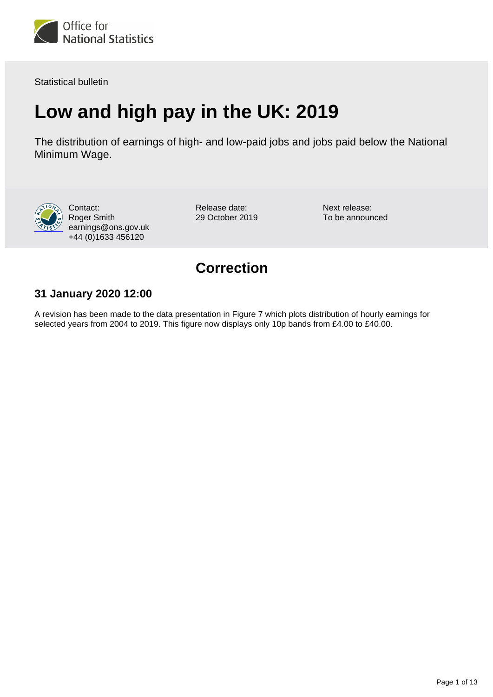

Statistical bulletin

# **Low and high pay in the UK: 2019**

The distribution of earnings of high- and low-paid jobs and jobs paid below the National Minimum Wage.



Contact: Roger Smith earnings@ons.gov.uk +44 (0)1633 456120

Release date: 29 October 2019 Next release: To be announced

# **Correction**

### **31 January 2020 12:00**

A revision has been made to the data presentation in Figure 7 which plots distribution of hourly earnings for selected years from 2004 to 2019. This figure now displays only 10p bands from £4.00 to £40.00.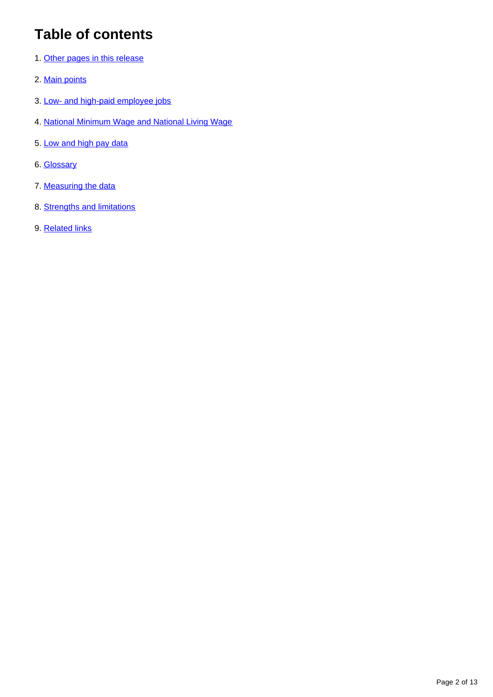# **Table of contents**

- 1. [Other pages in this release](#page-2-0)
- 2. [Main points](#page-2-1)
- 3. [Low- and high-paid employee jobs](#page-3-0)
- 4. [National Minimum Wage and National Living Wage](#page-9-0)
- 5. [Low and high pay data](#page-10-0)
- 6. [Glossary](#page-10-1)
- 7. [Measuring the data](#page-11-0)
- 8. [Strengths and limitations](#page-11-1)
- 9. [Related links](#page-12-0)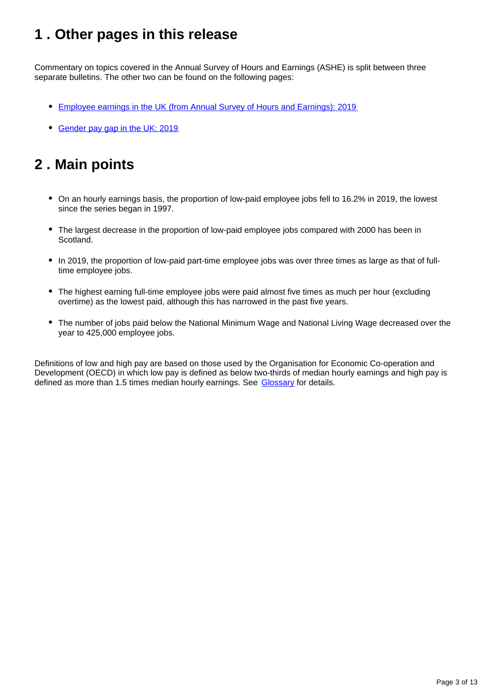# <span id="page-2-0"></span>**1 . Other pages in this release**

Commentary on topics covered in the Annual Survey of Hours and Earnings (ASHE) is split between three separate bulletins. The other two can be found on the following pages:

- [Employee earnings in the UK \(from Annual Survey of Hours and Earnings\): 2019](https://www.ons.gov.uk/employmentandlabourmarket/peopleinwork/earningsandworkinghours/bulletins/annualsurveyofhoursandearnings/2019)
- [Gender pay gap in the UK: 2019](https://www.ons.gov.uk/employmentandlabourmarket/peopleinwork/earningsandworkinghours/bulletins/genderpaygapintheuk/2019)

# <span id="page-2-1"></span>**2 . Main points**

- On an hourly earnings basis, the proportion of low-paid employee jobs fell to 16.2% in 2019, the lowest since the series began in 1997.
- The largest decrease in the proportion of low-paid employee jobs compared with 2000 has been in Scotland.
- In 2019, the proportion of low-paid part-time employee jobs was over three times as large as that of fulltime employee jobs.
- The highest earning full-time employee jobs were paid almost five times as much per hour (excluding overtime) as the lowest paid, although this has narrowed in the past five years.
- The number of jobs paid below the National Minimum Wage and National Living Wage decreased over the year to 425,000 employee jobs.

Definitions of low and high pay are based on those used by the Organisation for Economic Co-operation and Development (OECD) in which low pay is defined as below two-thirds of median hourly earnings and high pay is defined as more than 1.5 times median hourly earnings. See [Glossary](https://www.ons.gov.uk/employmentandlabourmarket/peopleinwork/earningsandworkinghours/bulletins/lowandhighpayuk/2019#glossary) for details.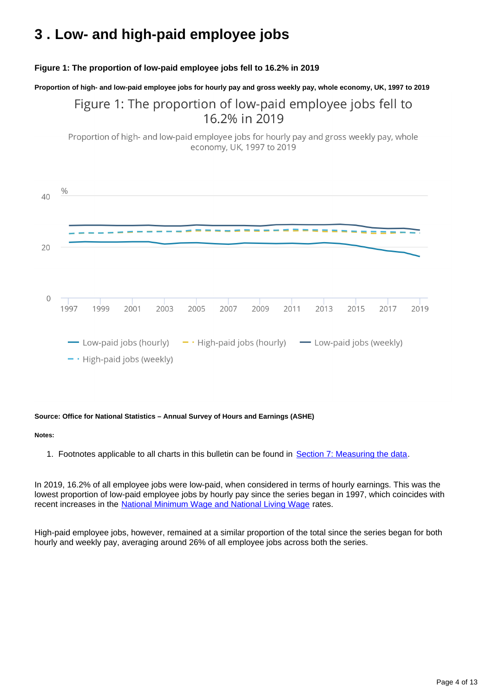# <span id="page-3-0"></span>**3 . Low- and high-paid employee jobs**

### **Figure 1: The proportion of low-paid employee jobs fell to 16.2% in 2019**

**Proportion of high- and low-paid employee jobs for hourly pay and gross weekly pay, whole economy, UK, 1997 to 2019**

### Figure 1: The proportion of low-paid employee jobs fell to 16.2% in 2019

Proportion of high- and low-paid employee jobs for hourly pay and gross weekly pay, whole economy, UK, 1997 to 2019



### **Source: Office for National Statistics – Annual Survey of Hours and Earnings (ASHE)**

#### **Notes:**

1. Footnotes applicable to all charts in this bulletin can be found in [Section 7: Measuring the data](https://www.ons.gov.uk/employmentandlabourmarket/peopleinwork/earningsandworkinghours/bulletins/lowandhighpayuk/2019#measuring-the-data).

In 2019, 16.2% of all employee jobs were low-paid, when considered in terms of hourly earnings. This was the lowest proportion of low-paid employee jobs by hourly pay since the series began in 1997, which coincides with recent increases in the [National Minimum Wage and National Living Wage](https://www.gov.uk/national-minimum-wage-rates) rates.

High-paid employee jobs, however, remained at a similar proportion of the total since the series began for both hourly and weekly pay, averaging around 26% of all employee jobs across both the series.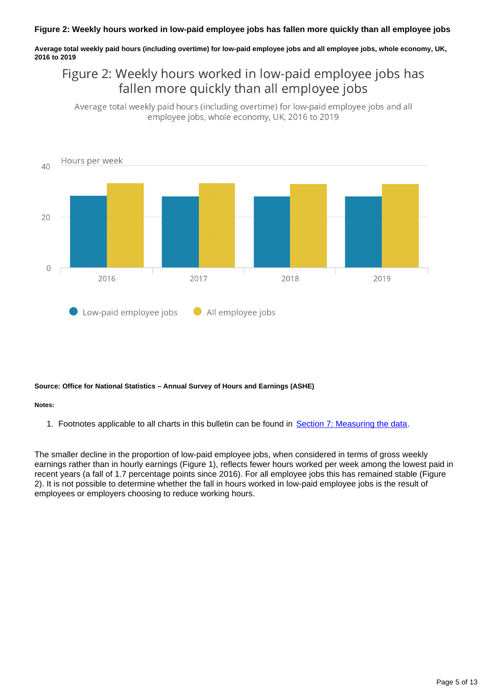**Average total weekly paid hours (including overtime) for low-paid employee jobs and all employee jobs, whole economy, UK, 2016 to 2019**

## Figure 2: Weekly hours worked in low-paid employee jobs has fallen more quickly than all employee jobs

Average total weekly paid hours (including overtime) for low-paid employee jobs and all employee jobs, whole economy, UK, 2016 to 2019



### **Source: Office for National Statistics – Annual Survey of Hours and Earnings (ASHE)**

#### **Notes:**

1. Footnotes applicable to all charts in this bulletin can be found in [Section 7: Measuring the data](https://www.ons.gov.uk/employmentandlabourmarket/peopleinwork/earningsandworkinghours/bulletins/lowandhighpayuk/2019#measuring-the-data).

The smaller decline in the proportion of low-paid employee jobs, when considered in terms of gross weekly earnings rather than in hourly earnings (Figure 1), reflects fewer hours worked per week among the lowest paid in recent years (a fall of 1.7 percentage points since 2016). For all employee jobs this has remained stable (Figure 2). It is not possible to determine whether the fall in hours worked in low-paid employee jobs is the result of employees or employers choosing to reduce working hours.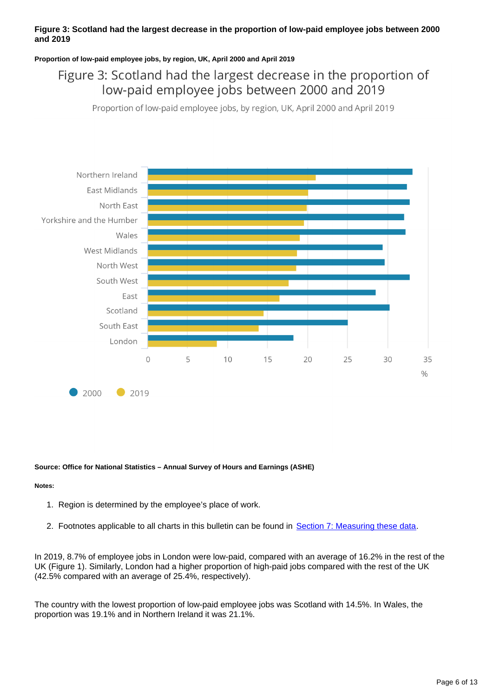### **Figure 3: Scotland had the largest decrease in the proportion of low-paid employee jobs between 2000 and 2019**

### **Proportion of low-paid employee jobs, by region, UK, April 2000 and April 2019**

## Figure 3: Scotland had the largest decrease in the proportion of low-paid employee jobs between 2000 and 2019

Proportion of low-paid employee jobs, by region, UK, April 2000 and April 2019



### **Source: Office for National Statistics – Annual Survey of Hours and Earnings (ASHE)**

### **Notes:**

- 1. Region is determined by the employee's place of work.
- 2. Footnotes applicable to all charts in this bulletin can be found in [Section 7: Measuring these data.](https://www.ons.gov.uk/employmentandlabourmarket/peopleinwork/earningsandworkinghours/bulletins/lowandhighpayuk/2019#measuring-the-data)

In 2019, 8.7% of employee jobs in London were low-paid, compared with an average of 16.2% in the rest of the UK (Figure 1). Similarly, London had a higher proportion of high-paid jobs compared with the rest of the UK (42.5% compared with an average of 25.4%, respectively).

The country with the lowest proportion of low-paid employee jobs was Scotland with 14.5%. In Wales, the proportion was 19.1% and in Northern Ireland it was 21.1%.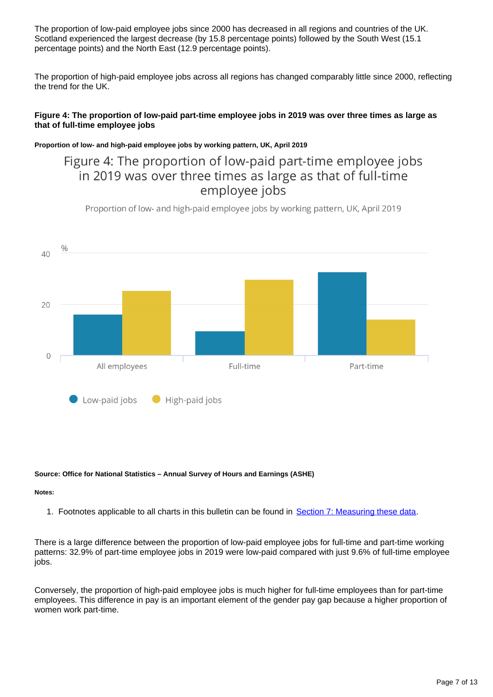The proportion of low-paid employee jobs since 2000 has decreased in all regions and countries of the UK. Scotland experienced the largest decrease (by 15.8 percentage points) followed by the South West (15.1 percentage points) and the North East (12.9 percentage points).

The proportion of high-paid employee jobs across all regions has changed comparably little since 2000, reflecting the trend for the UK.

### **Figure 4: The proportion of low-paid part-time employee jobs in 2019 was over three times as large as that of full-time employee jobs**

### **Proportion of low- and high-paid employee jobs by working pattern, UK, April 2019**

## Figure 4: The proportion of low-paid part-time employee jobs in 2019 was over three times as large as that of full-time employee jobs

Proportion of low- and high-paid employee jobs by working pattern, UK, April 2019



### **Source: Office for National Statistics – Annual Survey of Hours and Earnings (ASHE)**

### **Notes:**

1. Footnotes applicable to all charts in this bulletin can be found in [Section 7: Measuring these data.](https://www.ons.gov.uk/employmentandlabourmarket/peopleinwork/earningsandworkinghours/bulletins/lowandhighpayuk/2019#measuring-the-data)

There is a large difference between the proportion of low-paid employee jobs for full-time and part-time working patterns: 32.9% of part-time employee jobs in 2019 were low-paid compared with just 9.6% of full-time employee jobs.

Conversely, the proportion of high-paid employee jobs is much higher for full-time employees than for part-time employees. This difference in pay is an important element of the gender pay gap because a higher proportion of women work part-time.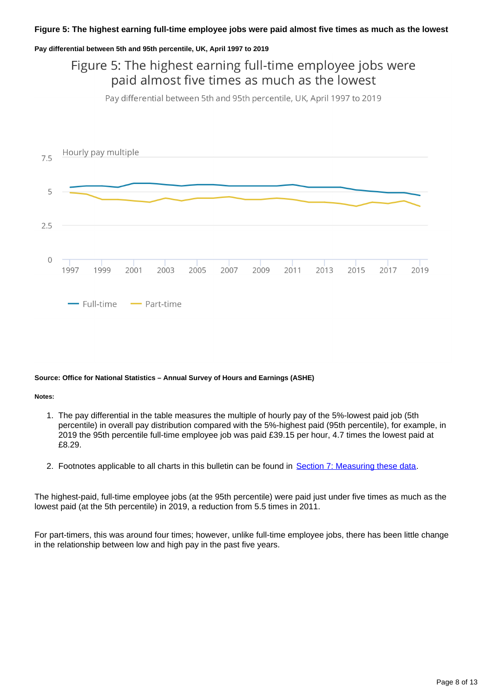### **Figure 5: The highest earning full-time employee jobs were paid almost five times as much as the lowest**

#### **Pay differential between 5th and 95th percentile, UK, April 1997 to 2019**

## Figure 5: The highest earning full-time employee jobs were paid almost five times as much as the lowest

Pay differential between 5th and 95th percentile, UK, April 1997 to 2019



#### **Source: Office for National Statistics – Annual Survey of Hours and Earnings (ASHE)**

#### **Notes:**

- 1. The pay differential in the table measures the multiple of hourly pay of the 5%-lowest paid job (5th percentile) in overall pay distribution compared with the 5%-highest paid (95th percentile), for example, in 2019 the 95th percentile full-time employee job was paid £39.15 per hour, 4.7 times the lowest paid at £8.29.
- 2. Footnotes applicable to all charts in this bulletin can be found in [Section 7: Measuring these data.](https://www.ons.gov.uk/employmentandlabourmarket/peopleinwork/earningsandworkinghours/bulletins/lowandhighpayuk/2019#measuring-the-data)

The highest-paid, full-time employee jobs (at the 95th percentile) were paid just under five times as much as the lowest paid (at the 5th percentile) in 2019, a reduction from 5.5 times in 2011.

For part-timers, this was around four times; however, unlike full-time employee jobs, there has been little change in the relationship between low and high pay in the past five years.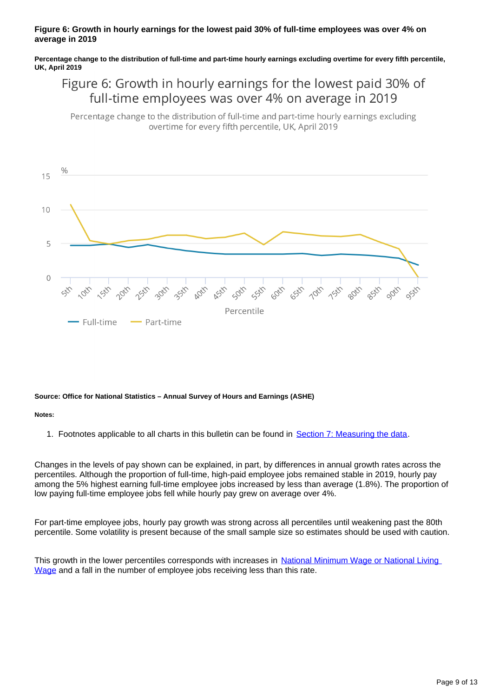### **Figure 6: Growth in hourly earnings for the lowest paid 30% of full-time employees was over 4% on average in 2019**

**Percentage change to the distribution of full-time and part-time hourly earnings excluding overtime for every fifth percentile, UK, April 2019**

## Figure 6: Growth in hourly earnings for the lowest paid 30% of full-time employees was over 4% on average in 2019

Percentage change to the distribution of full-time and part-time hourly earnings excluding overtime for every fifth percentile, UK, April 2019



### **Source: Office for National Statistics – Annual Survey of Hours and Earnings (ASHE)**

#### **Notes:**

1. Footnotes applicable to all charts in this bulletin can be found in [Section 7: Measuring the data](https://www.ons.gov.uk/employmentandlabourmarket/peopleinwork/earningsandworkinghours/bulletins/lowandhighpayuk/2019#measuring-the-data).

Changes in the levels of pay shown can be explained, in part, by differences in annual growth rates across the percentiles. Although the proportion of full-time, high-paid employee jobs remained stable in 2019, hourly pay among the 5% highest earning full-time employee jobs increased by less than average (1.8%). The proportion of low paying full-time employee jobs fell while hourly pay grew on average over 4%.

For part-time employee jobs, hourly pay growth was strong across all percentiles until weakening past the 80th percentile. Some volatility is present because of the small sample size so estimates should be used with caution.

This growth in the lower percentiles corresponds with increases in National Minimum Wage or National Living [Wage](https://www.gov.uk/national-minimum-wage-rates) and a fall in the number of employee jobs receiving less than this rate.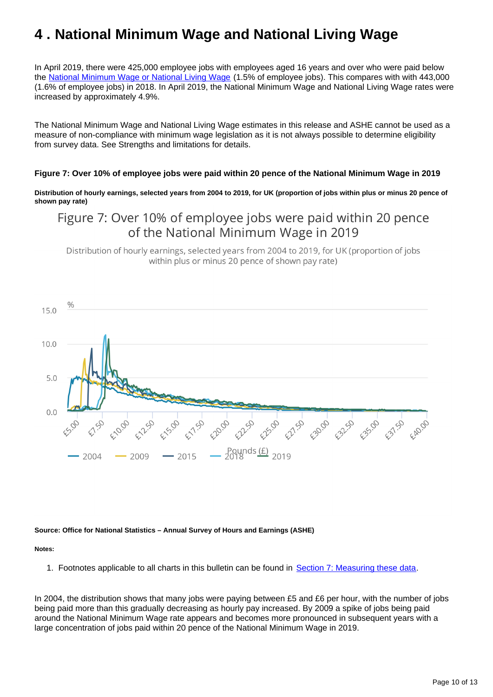# <span id="page-9-0"></span>**4 . National Minimum Wage and National Living Wage**

In April 2019, there were 425,000 employee jobs with employees aged 16 years and over who were paid below the [National Minimum Wage or National Living Wage](https://www.gov.uk/national-minimum-wage-rates) (1.5% of employee jobs). This compares with with 443,000 (1.6% of employee jobs) in 2018. In April 2019, the National Minimum Wage and National Living Wage rates were increased by approximately 4.9%.

The National Minimum Wage and National Living Wage estimates in this release and ASHE cannot be used as a measure of non-compliance with minimum wage legislation as it is not always possible to determine eligibility from survey data. See Strengths and limitations for details.

### **Figure 7: Over 10% of employee jobs were paid within 20 pence of the National Minimum Wage in 2019**

**Distribution of hourly earnings, selected years from 2004 to 2019, for UK (proportion of jobs within plus or minus 20 pence of shown pay rate)**

### Figure 7: Over 10% of employee jobs were paid within 20 pence of the National Minimum Wage in 2019

Distribution of hourly earnings, selected years from 2004 to 2019, for UK (proportion of jobs within plus or minus 20 pence of shown pay rate)



#### **Source: Office for National Statistics – Annual Survey of Hours and Earnings (ASHE)**

#### **Notes:**

1. Footnotes applicable to all charts in this bulletin can be found in [Section 7: Measuring these data.](https://www.ons.gov.uk/employmentandlabourmarket/peopleinwork/earningsandworkinghours/bulletins/lowandhighpayuk/2019#measuring-the-data)

In 2004, the distribution shows that many jobs were paying between £5 and £6 per hour, with the number of jobs being paid more than this gradually decreasing as hourly pay increased. By 2009 a spike of jobs being paid around the National Minimum Wage rate appears and becomes more pronounced in subsequent years with a large concentration of jobs paid within 20 pence of the National Minimum Wage in 2019.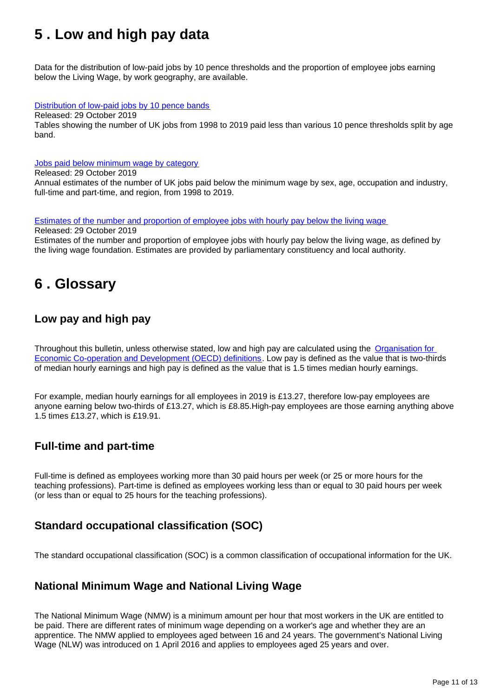# <span id="page-10-0"></span>**5 . Low and high pay data**

Data for the distribution of low-paid jobs by 10 pence thresholds and the proportion of employee jobs earning below the Living Wage, by work geography, are available.

### [Distribution of low-paid jobs by 10 pence bands](https://www.ons.gov.uk/employmentandlabourmarket/peopleinwork/earningsandworkinghours/datasets/distributionoflowpaidjobsby10pbands)

Released: 29 October 2019 Tables showing the number of UK jobs from 1998 to 2019 paid less than various 10 pence thresholds split by age band.

### [Jobs paid below minimum wage by category](https://www.ons.gov.uk/employmentandlabourmarket/peopleinwork/earningsandworkinghours/datasets/jobspaidbelowminimumwagebycategory)

Released: 29 October 2019 Annual estimates of the number of UK jobs paid below the minimum wage by sex, age, occupation and industry, full-time and part-time, and region, from 1998 to 2019.

#### [Estimates of the number and proportion of employee jobs with hourly pay below the living wage](https://www.ons.gov.uk/employmentandlabourmarket/peopleinwork/earningsandworkinghours/adhocs/009211annualsurveyofhoursandearningsasheestimatesofthenumberandproportionofemployeejobswithhourlypaybelowthelivingwagebyworkgeographylocalauthorityandparliamentaryconstituencyukapril2017andapril2018) Released: 29 October 2019

Estimates of the number and proportion of employee jobs with hourly pay below the living wage, as defined by the living wage foundation. Estimates are provided by parliamentary constituency and local authority.

## <span id="page-10-1"></span>**6 . Glossary**

### **Low pay and high pay**

Throughout this bulletin, unless otherwise stated, low and high pay are calculated using the Organisation for [Economic Co-operation and Development \(OECD\) definitions.](https://data.oecd.org/earnwage/wage-levels.htm) Low pay is defined as the value that is two-thirds of median hourly earnings and high pay is defined as the value that is 1.5 times median hourly earnings.

For example, median hourly earnings for all employees in 2019 is £13.27, therefore low-pay employees are anyone earning below two-thirds of £13.27, which is £8.85.High-pay employees are those earning anything above 1.5 times £13.27, which is £19.91.

### **Full-time and part-time**

Full-time is defined as employees working more than 30 paid hours per week (or 25 or more hours for the teaching professions). Part-time is defined as employees working less than or equal to 30 paid hours per week (or less than or equal to 25 hours for the teaching professions).

### **Standard occupational classification (SOC)**

The standard occupational classification (SOC) is a common classification of occupational information for the UK.

### **National Minimum Wage and National Living Wage**

The National Minimum Wage (NMW) is a minimum amount per hour that most workers in the UK are entitled to be paid. There are different rates of minimum wage depending on a worker's age and whether they are an apprentice. The NMW applied to employees aged between 16 and 24 years. The government's National Living Wage (NLW) was introduced on 1 April 2016 and applies to employees aged 25 years and over.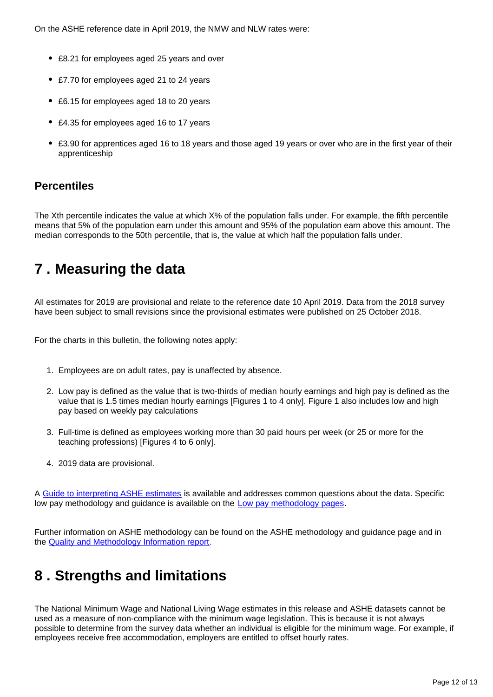On the ASHE reference date in April 2019, the NMW and NLW rates were:

- £8.21 for employees aged 25 years and over
- £7.70 for employees aged 21 to 24 years
- £6.15 for employees aged 18 to 20 years
- £4.35 for employees aged 16 to 17 years
- £3.90 for apprentices aged 16 to 18 years and those aged 19 years or over who are in the first year of their apprenticeship

### **Percentiles**

The Xth percentile indicates the value at which X% of the population falls under. For example, the fifth percentile means that 5% of the population earn under this amount and 95% of the population earn above this amount. The median corresponds to the 50th percentile, that is, the value at which half the population falls under.

## <span id="page-11-0"></span>**7 . Measuring the data**

All estimates for 2019 are provisional and relate to the reference date 10 April 2019. Data from the 2018 survey have been subject to small revisions since the provisional estimates were published on 25 October 2018.

For the charts in this bulletin, the following notes apply:

- 1. Employees are on adult rates, pay is unaffected by absence.
- 2. Low pay is defined as the value that is two-thirds of median hourly earnings and high pay is defined as the value that is 1.5 times median hourly earnings [Figures 1 to 4 only]. Figure 1 also includes low and high pay based on weekly pay calculations
- 3. Full-time is defined as employees working more than 30 paid hours per week (or 25 or more for the teaching professions) [Figures 4 to 6 only].
- 4. 2019 data are provisional.

A [Guide to interpreting ASHE estimates](https://www.ons.gov.uk/employmentandlabourmarket/peopleinwork/earningsandworkinghours/methodologies/guidetointerpretingannualsurveyofhoursandearningsasheestimates) is available and addresses common questions about the data. Specific low pay methodology and guidance is available on the [Low pay methodology pages](http://www.ons.gov.uk/ons/guide-method/method-quality/specific/labour-market/annual-survey-of-hours-and-earnings/low-pay-estimates/index.html).

Further information on ASHE methodology can be found on the ASHE methodology and guidance page and in the [Quality and Methodology Information report](https://www.ons.gov.uk/employmentandlabourmarket/peopleinwork/earningsandworkinghours/methodologies/annualsurveyofhoursandearningslowpayandannualsurveyofhoursandearningspensionresultsqmi).

# <span id="page-11-1"></span>**8 . Strengths and limitations**

The National Minimum Wage and National Living Wage estimates in this release and ASHE datasets cannot be used as a measure of non-compliance with the minimum wage legislation. This is because it is not always possible to determine from the survey data whether an individual is eligible for the minimum wage. For example, if employees receive free accommodation, employers are entitled to offset hourly rates.